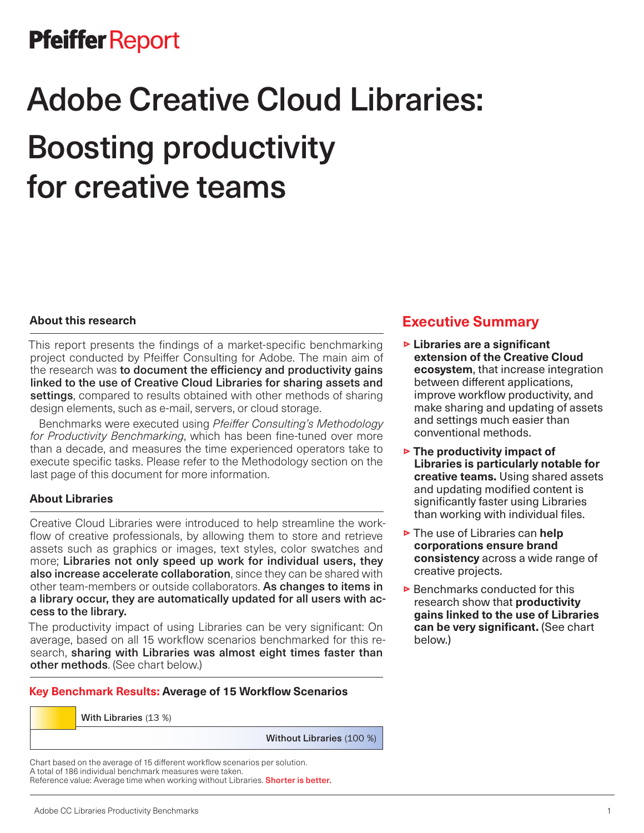## Pfeiffer Report

# Adobe Creative Cloud Libraries: Boosting productivity for creative teams

#### **About this research**

This report presents the findings of a market-specific benchmarking project conducted by Pfeiffer Consulting for Adobe. The main aim of the research was to document the efficiency and productivity gains linked to the use of Creative Cloud Libraries for sharing assets and settings, compared to results obtained with other methods of sharing design elements, such as e-mail, servers, or cloud storage.

Benchmarks were executed using *Pfeiffer Consulting's Methodology for Productivity Benchmarking*, which has been fine-tuned over more than a decade, and measures the time experienced operators take to execute specific tasks. Please refer to the Methodology section on the last page of this document for more information.

#### **About Libraries**

Creative Cloud Libraries were introduced to help streamline the workflow of creative professionals, by allowing them to store and retrieve assets such as graphics or images, text styles, color swatches and more; Libraries not only speed up work for individual users, they also increase accelerate collaboration, since they can be shared with other team-members or outside collaborators. As changes to items in a library occur, they are automatically updated for all users with access to the library.

The productivity impact of using Libraries can be very significant: On average, based on all 15 workflow scenarios benchmarked for this research, sharing with Libraries was almost eight times faster than other methods. (See chart below.)

#### **Key Benchmark Results: Average of 15 Workflow Scenarios**

With Libraries (13 %)

Without Libraries (100 %)

Chart based on the average of 15 different workflow scenarios per solution. A total of 186 individual benchmark measures were taken. Reference value: Average time when working without Libraries. Shorter is better.

### **Executive Summary**

- **Exercise 5 Libraries are a significant extension of the Creative Cloud ecosystem**, that increase integration between different applications, improve workflow productivity, and make sharing and updating of assets and settings much easier than conventional methods.
- **► The productivity impact of Libraries is particularly notable for creative teams.** Using shared assets and updating modified content is significantly faster using Libraries than working with individual files.
- **► The use of Libraries can help corporations ensure brand consistency** across a wide range of creative projects.
- $\triangleright$  Benchmarks conducted for this research show that **productivity gains linked to the use of Libraries can be very significant.** (See chart below.)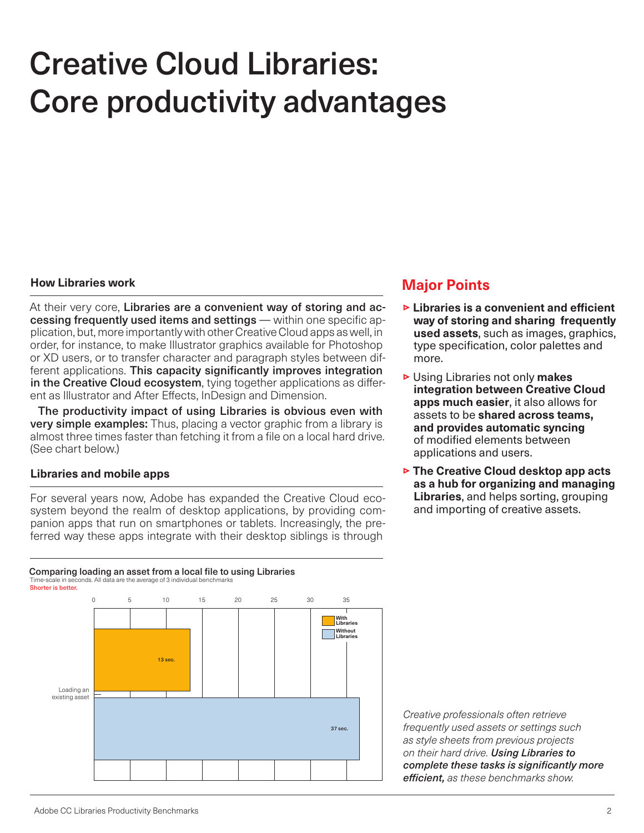# Creative Cloud Libraries: Core productivity advantages

#### **How Libraries work**

At their very core, Libraries are a convenient way of storing and accessing frequently used items and settings — within one specific application, but, more importantly with other Creative Cloud apps as well, in order, for instance, to make Illustrator graphics available for Photoshop or XD users, or to transfer character and paragraph styles between different applications. This capacity significantly improves integration in the Creative Cloud ecosystem, tying together applications as different as Illustrator and After Effects, InDesign and Dimension.

The productivity impact of using Libraries is obvious even with very simple examples: Thus, placing a vector graphic from a library is almost three times faster than fetching it from a file on a local hard drive. (See chart below.)

#### **Libraries and mobile apps**

For several years now, Adobe has expanded the Creative Cloud ecosystem beyond the realm of desktop applications, by providing companion apps that run on smartphones or tablets. Increasingly, the preferred way these apps integrate with their desktop siblings is through

#### Comparing loading an asset from a local file to using Libraries Time-scale in seconds. All data are the average of 3 individual benchmarks



### **Major Points**

- **Example 2 Exercise is a convenient and efficient way of storing and sharing frequently used assets**, such as images, graphics, type specification, color palettes and more.
- $\triangleright$  Using Libraries not only **makes integration between Creative Cloud apps much easier**, it also allows for assets to be **shared across teams, and provides automatic syncing** of modified elements between applications and users.
- **► The Creative Cloud desktop app acts as a hub for organizing and managing Libraries**, and helps sorting, grouping and importing of creative assets.

*Creative professionals often retrieve frequently used assets or settings such as style sheets from previous projects on their hard drive. Using Libraries to complete these tasks is significantly more efficient, as these benchmarks show.*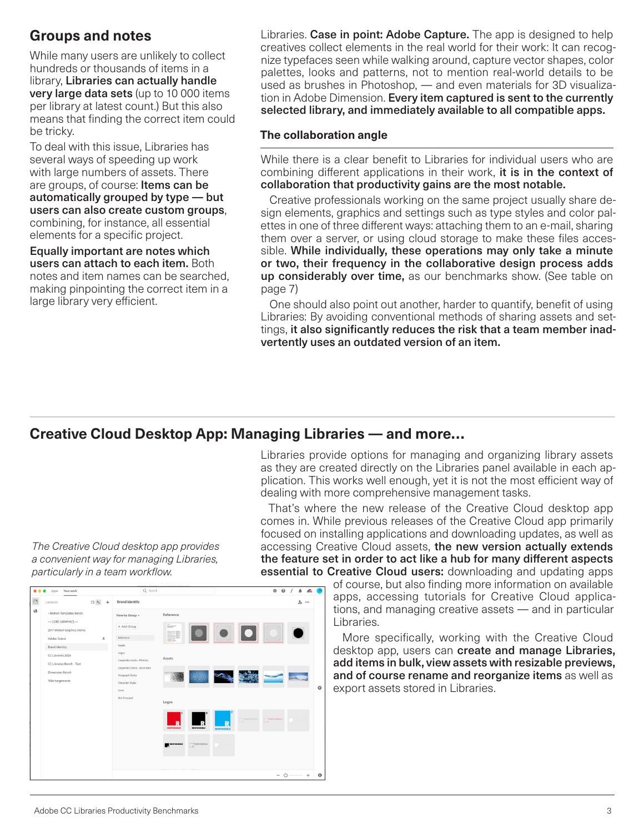## **Groups and notes**

While many users are unlikely to collect hundreds or thousands of items in a library, Libraries can actually handle very large data sets (up to 10 000 items per library at latest count.) But this also means that finding the correct item could be tricky.

To deal with this issue, Libraries has several ways of speeding up work with large numbers of assets. There are groups, of course: Items can be automatically grouped by type — but users can also create custom groups, combining, for instance, all essential elements for a specific project.

Equally important are notes which users can attach to each item. Both notes and item names can be searched, making pinpointing the correct item in a large library very efficient.

Libraries. Case in point: Adobe Capture. The app is designed to help creatives collect elements in the real world for their work: It can recognize typefaces seen while walking around, capture vector shapes, color palettes, looks and patterns, not to mention real-world details to be used as brushes in Photoshop, — and even materials for 3D visualization in Adobe Dimension. Every item captured is sent to the currently selected library, and immediately available to all compatible apps.

#### **The collaboration angle**

While there is a clear benefit to Libraries for individual users who are combining different applications in their work, it is in the context of collaboration that productivity gains are the most notable.

Creative professionals working on the same project usually share design elements, graphics and settings such as type styles and color palettes in one of three different ways: attaching them to an e-mail, sharing them over a server, or using cloud storage to make these files accessible. While individually, these operations may only take a minute or two, their frequency in the collaborative design process adds up considerably over time, as our benchmarks show. (See table on page 7)

One should also point out another, harder to quantify, benefit of using Libraries: By avoiding conventional methods of sharing assets and settings, it also significantly reduces the risk that a team member inadvertently uses an outdated version of an item.

## **Creative Cloud Desktop App: Managing Libraries — and more…**

Libraries provide options for managing and organizing library assets as they are created directly on the Libraries panel available in each application. This works well enough, yet it is not the most efficient way of dealing with more comprehensive management tasks.

That's where the new release of the Creative Cloud desktop app comes in. While previous releases of the Creative Cloud app primarily focused on installing applications and downloading updates, as well as accessing Creative Cloud assets, the new version actually extends the feature set in order to act like a hub for many different aspects essential to Creative Cloud users: downloading and updating apps

of course, but also finding more information on available apps, accessing tutorials for Creative Cloud applications, and managing creative assets — and in particular Libraries.

More specifically, working with the Creative Cloud desktop app, users can create and manage Libraries, add items in bulk, view assets with resizable previews, and of course rename and reorganize items as well as export assets stored in Libraries.

*The Creative Cloud desktop app provides a convenient way for managing Libraries, particularly in a team workflow.*

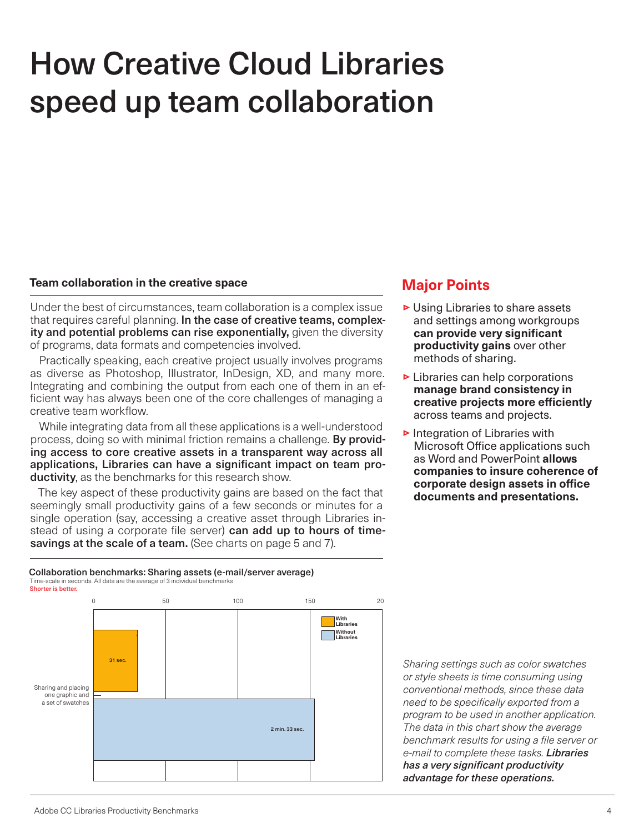## How Creative Cloud Libraries speed up team collaboration

#### **Team collaboration in the creative space**

Under the best of circumstances, team collaboration is a complex issue that requires careful planning. In the case of creative teams, complexity and potential problems can rise exponentially, given the diversity of programs, data formats and competencies involved.

Practically speaking, each creative project usually involves programs as diverse as Photoshop, Illustrator, InDesign, XD, and many more. Integrating and combining the output from each one of them in an efficient way has always been one of the core challenges of managing a creative team workflow.

While integrating data from all these applications is a well-understood process, doing so with minimal friction remains a challenge. By providing access to core creative assets in a transparent way across all applications, Libraries can have a significant impact on team productivity, as the benchmarks for this research show.

The key aspect of these productivity gains are based on the fact that seemingly small productivity gains of a few seconds or minutes for a single operation (say, accessing a creative asset through Libraries instead of using a corporate file server) can add up to hours of timesavings at the scale of a team. (See charts on page 5 and 7).

#### Collaboration benchmarks: Sharing assets (e-mail/server average) Time-scale in seconds. All data are the average of 3 individual benchmarks Shorter is better.



## **Major Points**

- $\triangleright$  Using Libraries to share assets and settings among workgroups **can provide very significant productivity gains** over other methods of sharing.
- $\triangleright$  Libraries can help corporations **manage brand consistency in creative projects more efficiently** across teams and projects.
- $\triangleright$  Integration of Libraries with Microsoft Office applications such as Word and PowerPoint **allows companies to insure coherence of corporate design assets in office documents and presentations.**

*Sharing settings such as color swatches or style sheets is time consuming using conventional methods, since these data need to be specifically exported from a program to be used in another application. The data in this chart show the average benchmark results for using a file server or e-mail to complete these tasks. Libraries has a very significant productivity advantage for these operations.*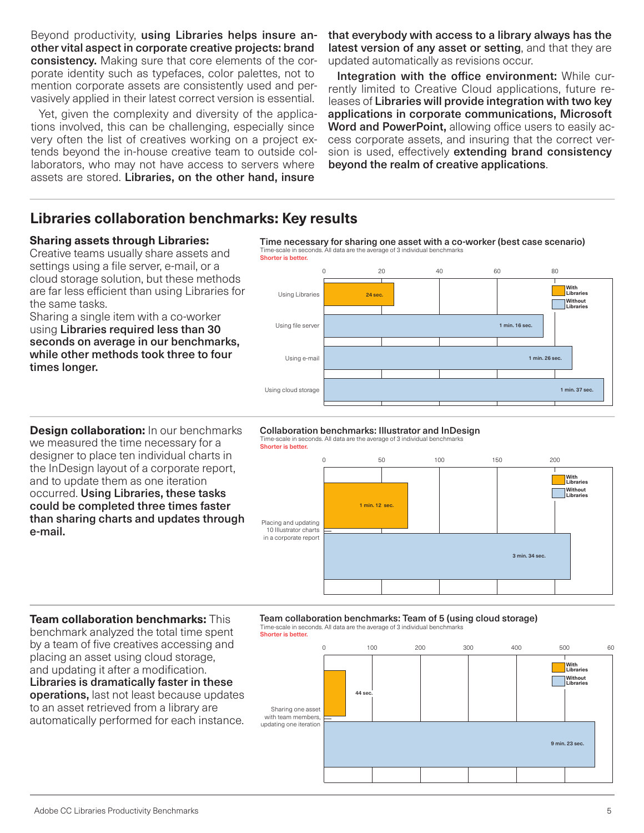Beyond productivity, using Libraries helps insure another vital aspect in corporate creative projects: brand consistency. Making sure that core elements of the corporate identity such as typefaces, color palettes, not to mention corporate assets are consistently used and pervasively applied in their latest correct version is essential.

Yet, given the complexity and diversity of the applications involved, this can be challenging, especially since very often the list of creatives working on a project extends beyond the in-house creative team to outside collaborators, who may not have access to servers where assets are stored. Libraries, on the other hand, insure

that everybody with access to a library always has the latest version of any asset or setting, and that they are updated automatically as revisions occur.

Integration with the office environment: While currently limited to Creative Cloud applications, future releases of Libraries will provide integration with two key applications in corporate communications, Microsoft Word and PowerPoint, allowing office users to easily access corporate assets, and insuring that the correct version is used, effectively extending brand consistency beyond the realm of creative applications.

## **Libraries collaboration benchmarks: Key results**

#### **Sharing assets through Libraries:**

Creative teams usually share assets and settings using a file server, e-mail, or a cloud storage solution, but these methods are far less efficient than using Libraries for the same tasks.

Sharing a single item with a co-worker using Libraries required less than 30 seconds on average in our benchmarks, while other methods took three to four times longer.

Time necessary for sharing one asset with a co-worker (best case scenario) Time-scale in seconds. All data are the average of 3 individual benchmarks



**Design collaboration:** In our benchmarks we measured the time necessary for a designer to place ten individual charts in the InDesign layout of a corporate report, and to update them as one iteration occurred. Using Libraries, these tasks could be completed three times faster than sharing charts and updates through e-mail.

#### Collaboration benchmarks: Illustrator and InDesign Time-scale in seconds. All data are the average of 3 individual benchmarks

Shorter is better



#### **Team collaboration benchmarks:** This benchmark analyzed the total time spent by a team of five creatives accessing and

placing an asset using cloud storage, and updating it after a modification. Libraries is dramatically faster in these operations, last not least because updates to an asset retrieved from a library are automatically performed for each instance.

### Team collaboration benchmarks: Team of 5 (using cloud storage)

Time-scale in seconds. All data are the average of 3 individual benchmarks Shorter is better.

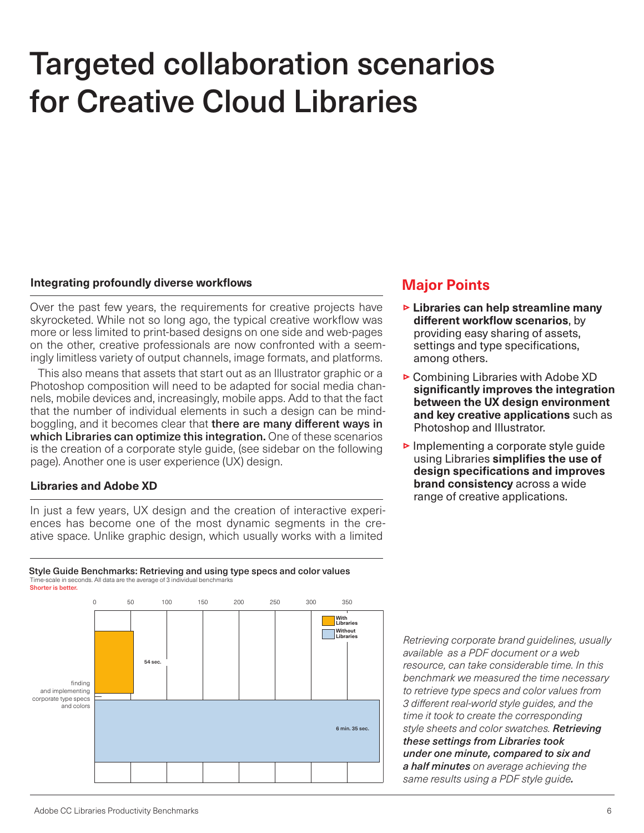## Targeted collaboration scenarios for Creative Cloud Libraries

#### **Integrating profoundly diverse workflows**

Over the past few years, the requirements for creative projects have skyrocketed. While not so long ago, the typical creative workflow was more or less limited to print-based designs on one side and web-pages on the other, creative professionals are now confronted with a seemingly limitless variety of output channels, image formats, and platforms.

This also means that assets that start out as an Illustrator graphic or a Photoshop composition will need to be adapted for social media channels, mobile devices and, increasingly, mobile apps. Add to that the fact that the number of individual elements in such a design can be mindboggling, and it becomes clear that there are many different ways in which Libraries can optimize this integration. One of these scenarios is the creation of a corporate style guide, (see sidebar on the following page). Another one is user experience (UX) design.

#### **Libraries and Adobe XD**

In just a few years, UX design and the creation of interactive experiences has become one of the most dynamic segments in the creative space. Unlike graphic design, which usually works with a limited

#### Style Guide Benchmarks: Retrieving and using type specs and color values Time-scale in seconds. All data are the average of 3 ind Shorter is better.



### **Major Points**

- **Example 1** Libraries can help streamline many **different workflow scenarios**, by providing easy sharing of assets, settings and type specifications, among others.
- $\triangleright$  Combining Libraries with Adobe XD **significantly improves the integration between the UX design environment and key creative applications** such as Photoshop and Illustrator.
- $\triangleright$  Implementing a corporate style guide using Libraries **simplifies the use of design specifications and improves brand consistency** across a wide range of creative applications.

*Retrieving corporate brand guidelines, usually available as a PDF document or a web resource, can take considerable time. In this benchmark we measured the time necessary to retrieve type specs and color values from 3 different real-world style guides, and the time it took to create the corresponding style sheets and color swatches. Retrieving these settings from Libraries took under one minute, compared to six and a half minutes on average achieving the same results using a PDF style guide.*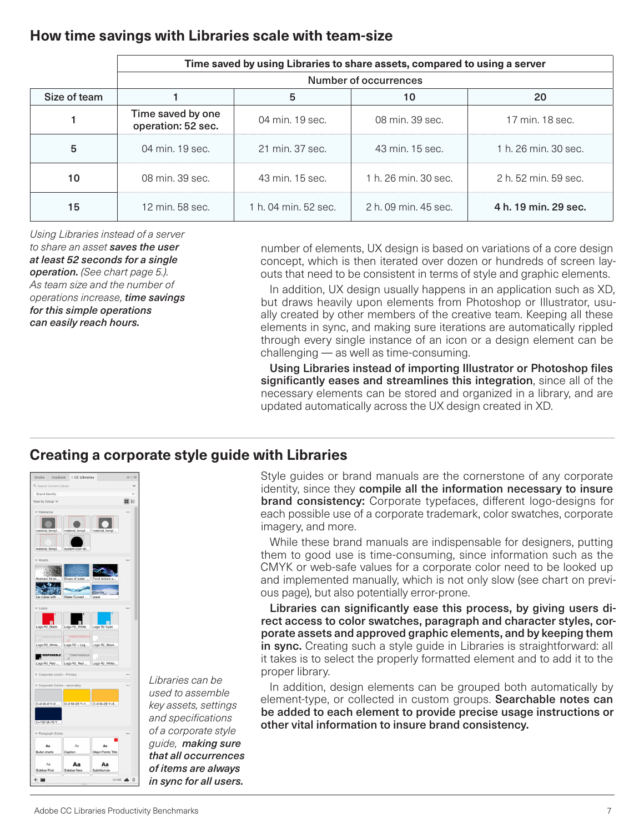## **How time savings with Libraries scale with team-size**

|              | Time saved by using Libraries to share assets, compared to using a server |                      |                      |                      |
|--------------|---------------------------------------------------------------------------|----------------------|----------------------|----------------------|
|              | Number of occurrences                                                     |                      |                      |                      |
| Size of team |                                                                           | 5                    | 10                   | 20                   |
|              | Time saved by one<br>operation: 52 sec.                                   | 04 min. 19 sec.      | 08 min. 39 sec.      | 17 min. 18 sec.      |
| 5            | 04 min. 19 sec.                                                           | 21 min. 37 sec.      | 43 min. 15 sec.      | 1 h. 26 min. 30 sec. |
| 10           | 08 min. 39 sec.                                                           | 43 min. 15 sec.      | 1 h. 26 min. 30 sec. | 2 h. 52 min. 59 sec. |
| 15           | 12 min. 58 sec.                                                           | 1 h, 04 min, 52 sec. | 2 h, 09 min, 45 sec. | 4 h. 19 min. 29 sec. |

*Using Libraries instead of a server to share an asset saves the user at least 52 seconds for a single operation. (See chart page 5.). As team size and the number of operations increase, time savings for this simple operations can easily reach hours.*

number of elements, UX design is based on variations of a core design concept, which is then iterated over dozen or hundreds of screen layouts that need to be consistent in terms of style and graphic elements.

In addition, UX design usually happens in an application such as XD, but draws heavily upon elements from Photoshop or Illustrator, usually created by other members of the creative team. Keeping all these elements in sync, and making sure iterations are automatically rippled through every single instance of an icon or a design element can be challenging — as well as time-consuming.

Using Libraries instead of importing Illustrator or Photoshop files significantly eases and streamlines this integration, since all of the necessary elements can be stored and organized in a library, and are updated automatically across the UX design created in XD.

## **Creating a corporate style guide with Libraries**



*Libraries can be used to assemble key assets, settings and specifications of a corporate style guide, making sure that all occurrences of items are always in sync for all users.*

Style guides or brand manuals are the cornerstone of any corporate identity, since they compile all the information necessary to insure **brand consistency:** Corporate typefaces, different logo-designs for each possible use of a corporate trademark, color swatches, corporate imagery, and more.

While these brand manuals are indispensable for designers, putting them to good use is time-consuming, since information such as the CMYK or web-safe values for a corporate color need to be looked up and implemented manually, which is not only slow (see chart on previous page), but also potentially error-prone.

Libraries can significantly ease this process, by giving users direct access to color swatches, paragraph and character styles, corporate assets and approved graphic elements, and by keeping them in sync. Creating such a style guide in Libraries is straightforward: all it takes is to select the properly formatted element and to add it to the proper library.

In addition, design elements can be grouped both automatically by element-type, or collected in custom groups. Searchable notes can be added to each element to provide precise usage instructions or other vital information to insure brand consistency.